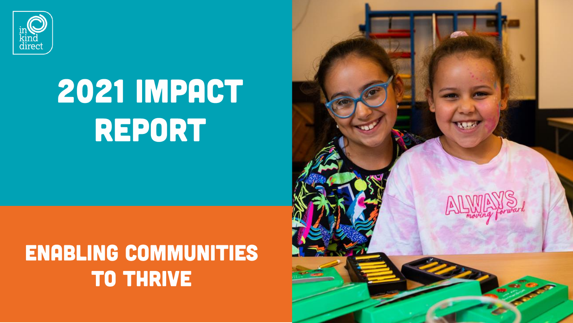

# 2021 IMPACT REPORT

### ENABLING COMMUNITIES **TO THRIVE**

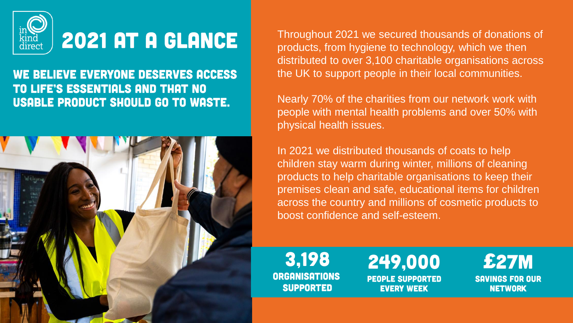

### 2021 AT A GLANCE

#### WE BELIEVE EVERYONE DESERVES ACCESS TO LIFE'S ESSENTIALS AND THAT NO **USABLE PRODUCT SHOULD GO TO WASTE.**



Throughout 2021 we secured thousands of donations of products, from hygiene to technology, which we then distributed to over 3,100 charitable organisations across the UK to support people in their local communities.

Nearly 70% of the charities from our network work with people with mental health problems and over 50% with physical health issues.

In 2021 we distributed thousands of coats to help children stay warm during winter, millions of cleaning products to help charitable organisations to keep their premises clean and safe, educational items for children across the country and millions of cosmetic products to boost confidence and self-esteem.

3.198 **ORGANISATIONS SUPPORTED** 

### 249,000

**PEOPLE SUPPORTED EVERY WEEK** 

£**SAVINGS FOR OUR NETWORK**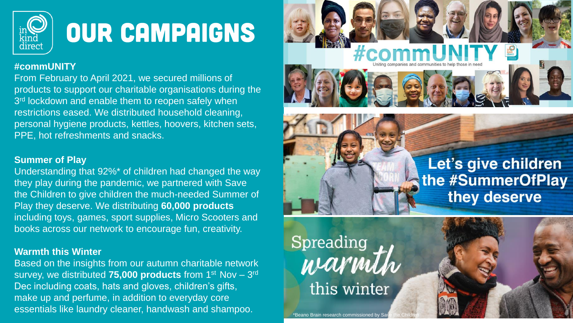

## OUR CAMPAIGNS

#### **#commUNITY**

From February to April 2021, we secured millions of products to support our charitable organisations during the 3<sup>rd</sup> lockdown and enable them to reopen safely when restrictions eased. We distributed household cleaning, personal hygiene products, kettles, hoovers, kitchen sets, PPE, hot refreshments and snacks.

#### **Summer of Play**

Understanding that 92%\* of children had changed the way they play during the pandemic, we partnered with Save the Children to give children the much-needed Summer of Play they deserve. We distributing **60,000 products**  including toys, games, sport supplies, Micro Scooters and books across our network to encourage fun, creativity.

#### **Warmth this Winter**

Based on the insights from our autumn charitable network survey, we distributed 75,000 products from 1<sup>st</sup> Nov - 3<sup>rd</sup> Dec including coats, hats and gloves, children's gifts, make up and perfume, in addition to everyday core essentials like laundry cleaner, handwash and shampoo.



## the #SummerOfPlay they deserve

Let's give children

Spreading<br>warmth this winter

Beano Brain research commissioned by Sail